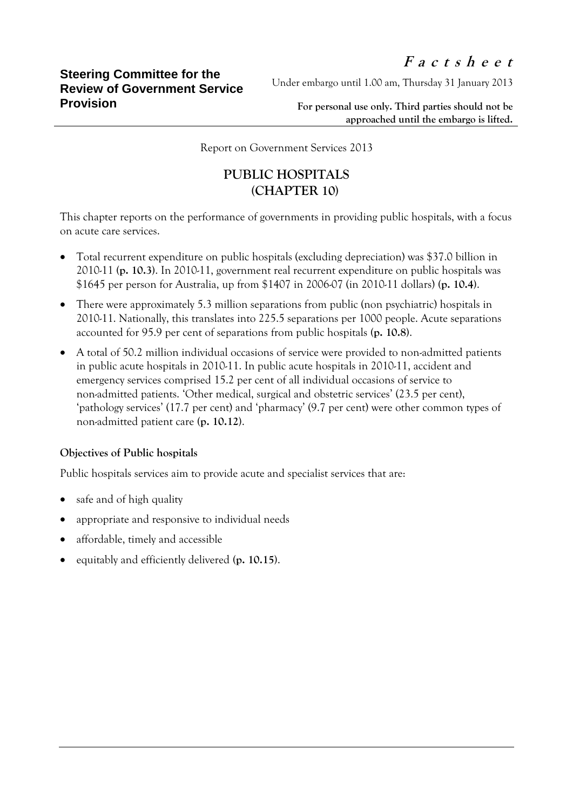Under embargo until 1.00 am, Thursday 31 January 2013

**For personal use only. Third parties should not be approached until the embargo is lifted.**

Report on Government Services 2013

## **PUBLIC HOSPITALS (CHAPTER 10)**

This chapter reports on the performance of governments in providing public hospitals, with a focus on acute care services.

- Total recurrent expenditure on public hospitals (excluding depreciation) was \$37.0 billion in 2010-11 **(p. 10.3)**. In 2010-11, government real recurrent expenditure on public hospitals was \$1645 per person for Australia, up from \$1407 in 2006-07 (in 2010-11 dollars) **(p. 10.4)**.
- There were approximately 5.3 million separations from public (non psychiatric) hospitals in 2010-11. Nationally, this translates into 225.5 separations per 1000 people. Acute separations accounted for 95.9 per cent of separations from public hospitals **(p. 10.8)**.
- A total of 50.2 million individual occasions of service were provided to non-admitted patients in public acute hospitals in 2010-11. In public acute hospitals in 2010-11, accident and emergency services comprised 15.2 per cent of all individual occasions of service to non-admitted patients. 'Other medical, surgical and obstetric services' (23.5 per cent), 'pathology services' (17.7 per cent) and 'pharmacy' (9.7 per cent) were other common types of non-admitted patient care **(p. 10.12)**.

## **Objectives of Public hospitals**

Public hospitals services aim to provide acute and specialist services that are:

- safe and of high quality
- appropriate and responsive to individual needs
- affordable, timely and accessible
- equitably and efficiently delivered **(p. 10.15)**.